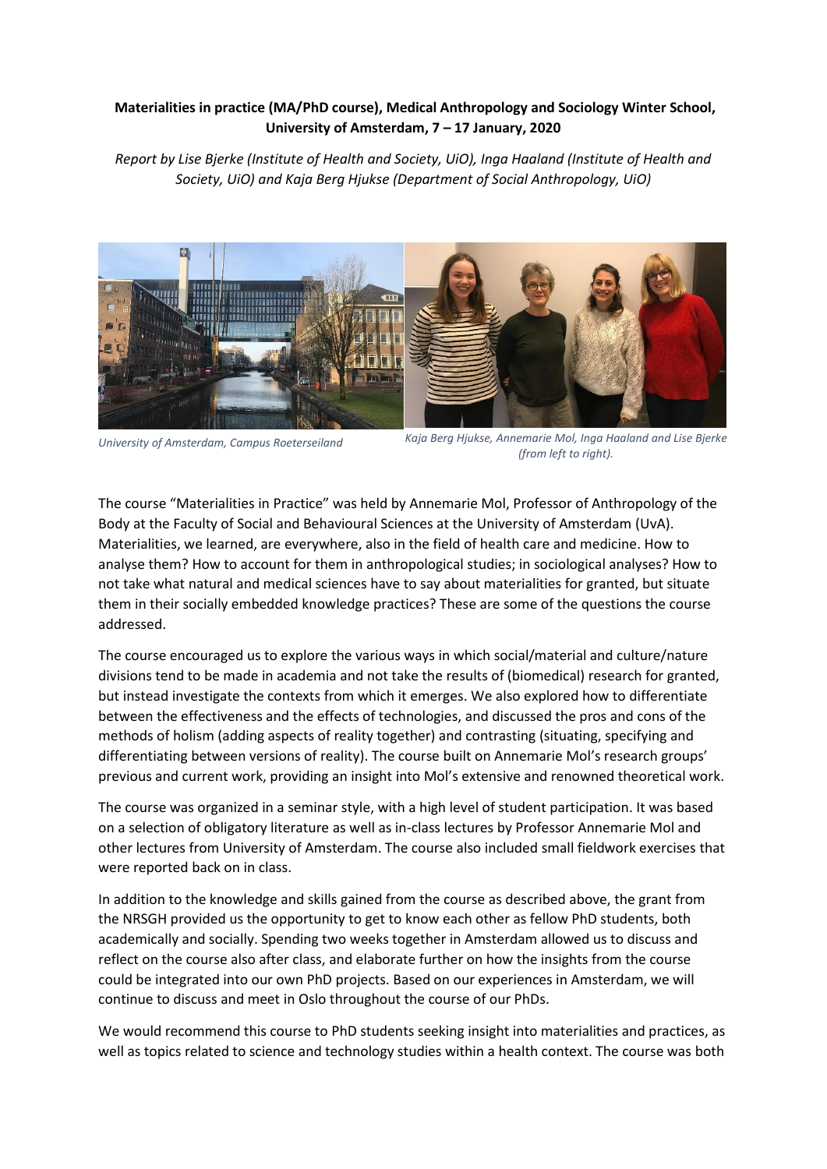## **Materialities in practice (MA/PhD course), Medical Anthropology and Sociology Winter School, University of Amsterdam, 7 – 17 January, 2020**

*Report by Lise Bjerke (Institute of Health and Society, UiO), Inga Haaland (Institute of Health and Society, UiO) and Kaja Berg Hjukse (Department of Social Anthropology, UiO)*



*University of Amsterdam, Campus Roeterseiland*

*Kaja Berg Hjukse, Annemarie Mol, Inga Haaland and Lise Bjerke (from left to right).*

The course "Materialities in Practice" was held by Annemarie Mol, Professor of Anthropology of the Body at the Faculty of Social and Behavioural Sciences at the University of Amsterdam (UvA). Materialities, we learned, are everywhere, also in the field of health care and medicine. How to analyse them? How to account for them in anthropological studies; in sociological analyses? How to not take what natural and medical sciences have to say about materialities for granted, but situate them in their socially embedded knowledge practices? These are some of the questions the course addressed.

The course encouraged us to explore the various ways in which social/material and culture/nature divisions tend to be made in academia and not take the results of (biomedical) research for granted, but instead investigate the contexts from which it emerges. We also explored how to differentiate between the effectiveness and the effects of technologies, and discussed the pros and cons of the methods of holism (adding aspects of reality together) and contrasting (situating, specifying and differentiating between versions of reality). The course built on Annemarie Mol's research groups' previous and current work, providing an insight into Mol's extensive and renowned theoretical work.

The course was organized in a seminar style, with a high level of student participation. It was based on a selection of obligatory literature as well as in-class lectures by Professor Annemarie Mol and other lectures from University of Amsterdam. The course also included small fieldwork exercises that were reported back on in class.

In addition to the knowledge and skills gained from the course as described above, the grant from the NRSGH provided us the opportunity to get to know each other as fellow PhD students, both academically and socially. Spending two weeks together in Amsterdam allowed us to discuss and reflect on the course also after class, and elaborate further on how the insights from the course could be integrated into our own PhD projects. Based on our experiences in Amsterdam, we will continue to discuss and meet in Oslo throughout the course of our PhDs.

We would recommend this course to PhD students seeking insight into materialities and practices, as well as topics related to science and technology studies within a health context. The course was both